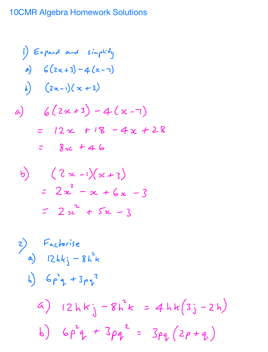## 10CMR Algebra Homework Solutions

1) England and simplify  
\na) 
$$
G(2x+3)-4(x-7)
$$
  
\nb)  $(2x-1)(x+3)$   
\na)  $G(2x+3)-4(x-7)$   
\n $G(2x+3)-4(x-7)$   
\n $G(2x+18-4x+28)$   
\n $G(2x+18-4x+28)$ 

b) 
$$
(2x-1)(x+3)
$$
  
=  $2x^2 - x + 6x - 3$   
=  $2x^2 + 5x - 3$ 

2) Factorise  
\na) 
$$
12hkj - 8h^{2}k
$$
  
\nb)  $6p^{2}q + 3pq^{2}$   
\n $q$ )  $12hkj - 8h^{2}k = 4hk(3j - 2h)$   
\nb)  $6p^{2}q + 3pq^{2} = 3pq(2p+q)$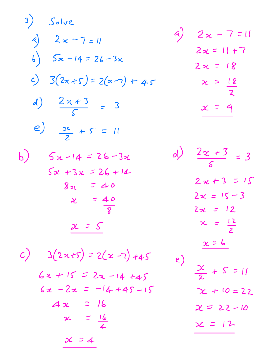3) Solve  
\na) 
$$
2x-7=11
$$
  
\nb)  $5x-14 = 26-3x$   
\nc)  $3(2x+5) = 2(x-7) + 4s$   
\n $2x = 18$   
\n $2x = 18$   
\n $2x = 18$   
\n $2x = 18$   
\n $2x = 18$   
\n $2x = 18$   
\n $2x = 18$   
\n $2x = 18$   
\n $2x = 18$   
\n $2x = 18$   
\n $2x = 18$   
\n $2x = 18$   
\n $2x = 12$   
\n $2x = 12$   
\n $2x = 12$   
\n $2x = 15-3$   
\n $2x = 15-3$   
\n $2x = 15-3$   
\n $2x = 15-3$   
\n $2x = 15-3$   
\n $2x = 12$   
\n $2x = 12$   
\n $2x = 12$   
\n $2x = 12$   
\n $2x = 12$   
\n $2x = 12$   
\n $2x = 12$   
\n $2x = 12$   
\n $2x = 12$   
\n $2x = 12$   
\n $2x = 12$   
\n $2x = 12$   
\n $2x = 12$   
\n $2x = 12$   
\n $2x = 12$   
\n $2x = 1$   
\n $2x = 1$   
\n $2x = 1$   
\n $2x = 1$   
\n $2x = 1$   
\n $2x = 1$   
\n $2x = 1$   
\n $2x = 1$   
\n $2x = 1$   
\n $2x = 1$   
\n $2x = 1$   
\n $$